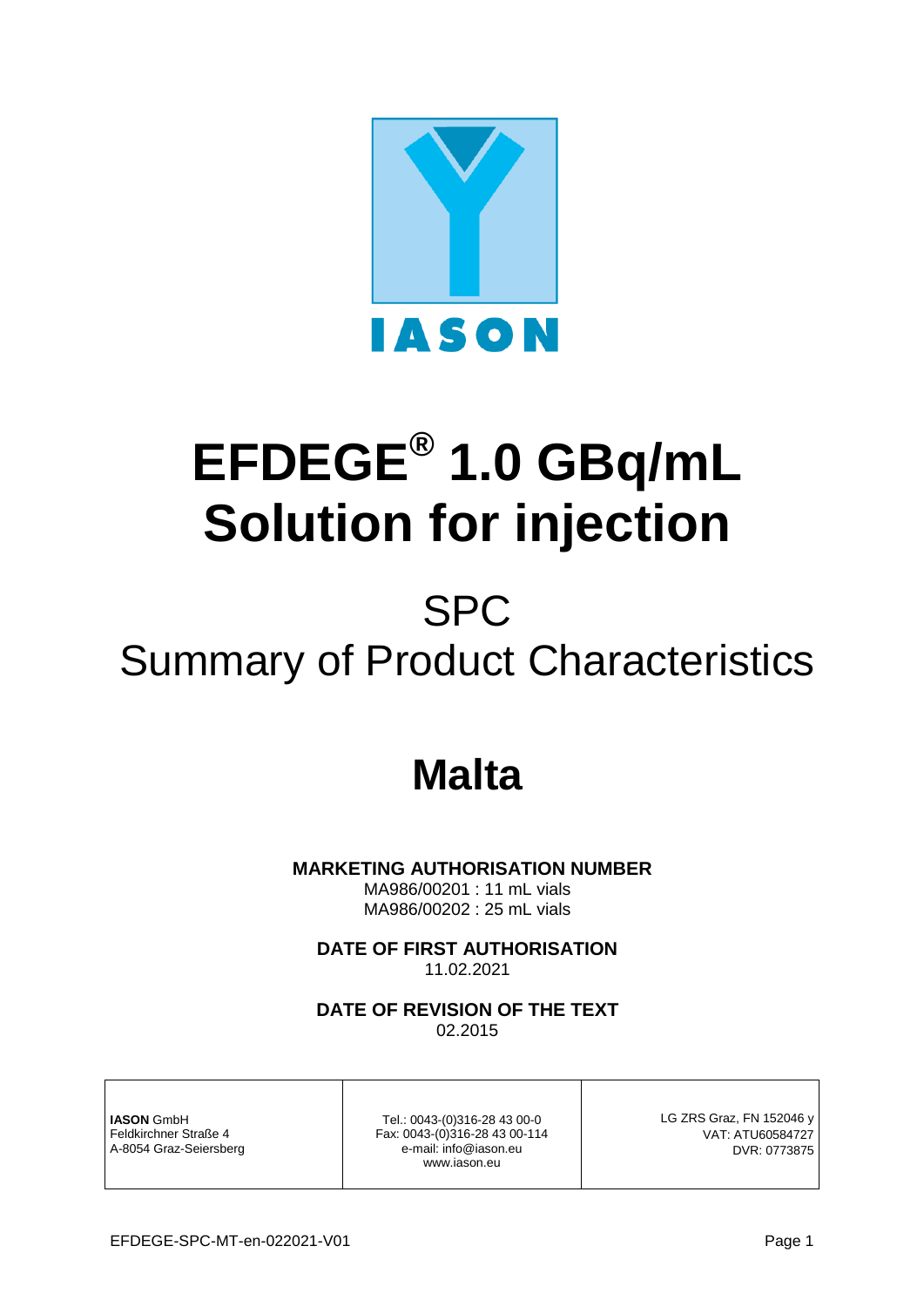

# **EFDEGE® 1.0 GBq/mL Solution for injection**

# SPC Summary of Product Characteristics

# **Malta**

 **MARKETING AUTHORISATION NUMBER**

MA986/00201 : 11 mL vials MA986/00202 : 25 mL vials

**DATE OF FIRST AUTHORISATION** 11.02.2021

**DATE OF REVISION OF THE TEXT**

02.2015

**IASON** GmbH Feldkirchner Straße 4 A-8054 Graz-Seiersberg

Tel.: 0043-(0)316-28 43 00-0 Fax: 0043-(0)316-28 43 00-114 e-mail: info@iason.eu www.iason.eu

LG ZRS Graz, FN 152046 y VAT: ATU60584727 DVR: 0773875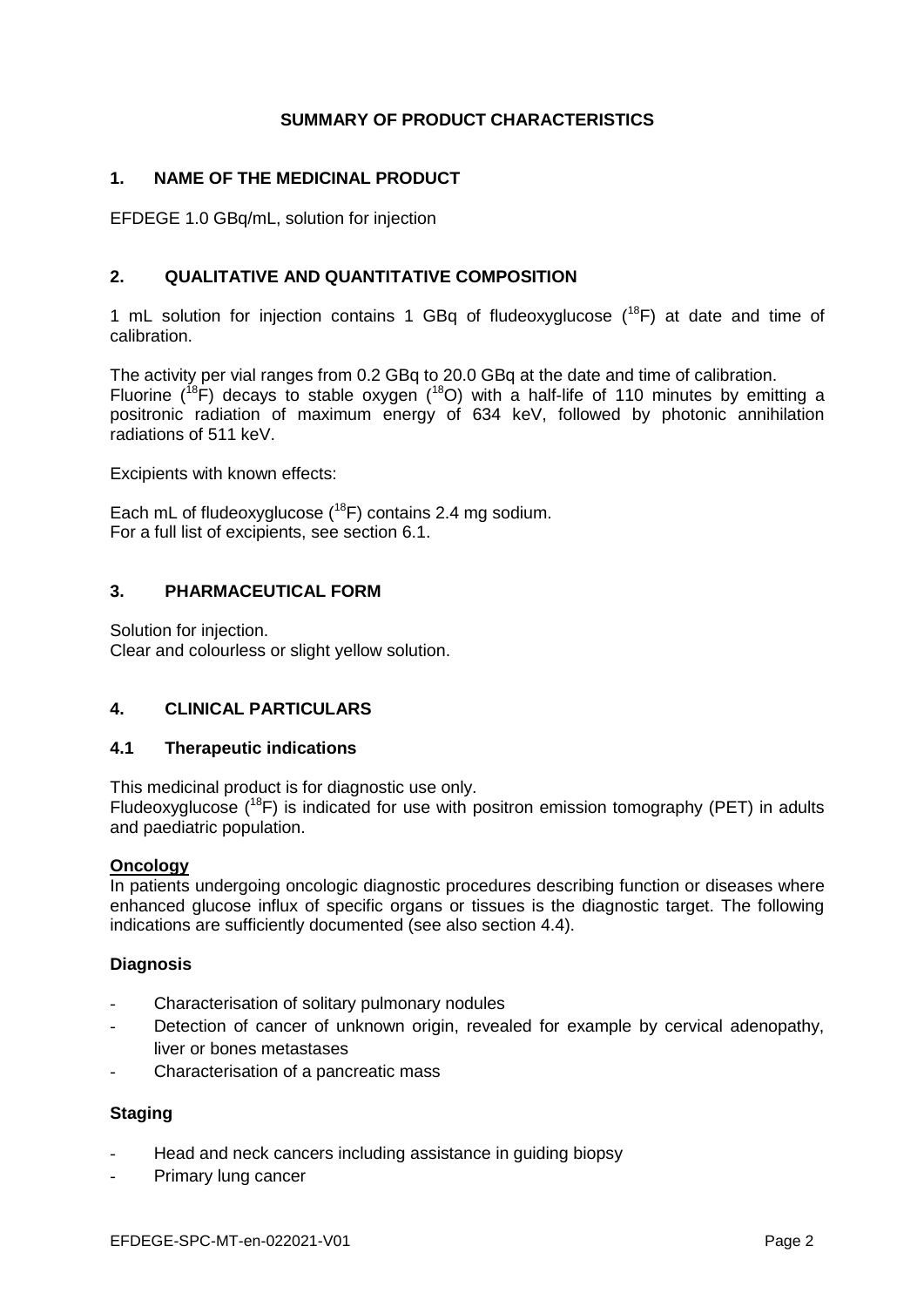# **SUMMARY OF PRODUCT CHARACTERISTICS**

# **1. NAME OF THE MEDICINAL PRODUCT**

EFDEGE 1.0 GBq/mL, solution for injection

# **2. QUALITATIVE AND QUANTITATIVE COMPOSITION**

1 mL solution for injection contains 1 GBq of fludeoxyglucose  $(^{18}F)$  at date and time of calibration.

The activity per vial ranges from 0.2 GBq to 20.0 GBq at the date and time of calibration. Fluorine ( $^{18}$ F) decays to stable oxygen ( $^{18}$ O) with a half-life of 110 minutes by emitting a positronic radiation of maximum energy of 634 keV, followed by photonic annihilation radiations of 511 keV.

Excipients with known effects:

Each mL of fludeoxyglucose  $(^{18}F)$  contains 2.4 mg sodium. For a full list of excipients, see section 6.1.

# **3. PHARMACEUTICAL FORM**

Solution for injection. Clear and colourless or slight yellow solution.

# **4. CLINICAL PARTICULARS**

#### **4.1 Therapeutic indications**

This medicinal product is for diagnostic use only.

Fludeoxyglucose  $(^{18}F)$  is indicated for use with positron emission tomography (PET) in adults and paediatric population.

#### **Oncology**

In patients undergoing oncologic diagnostic procedures describing function or diseases where enhanced glucose influx of specific organs or tissues is the diagnostic target. The following indications are sufficiently documented (see also section 4.4).

# **Diagnosis**

- Characterisation of solitary pulmonary nodules
- Detection of cancer of unknown origin, revealed for example by cervical adenopathy, liver or bones metastases
- Characterisation of a pancreatic mass

# **Staging**

- Head and neck cancers including assistance in guiding biopsy
- Primary lung cancer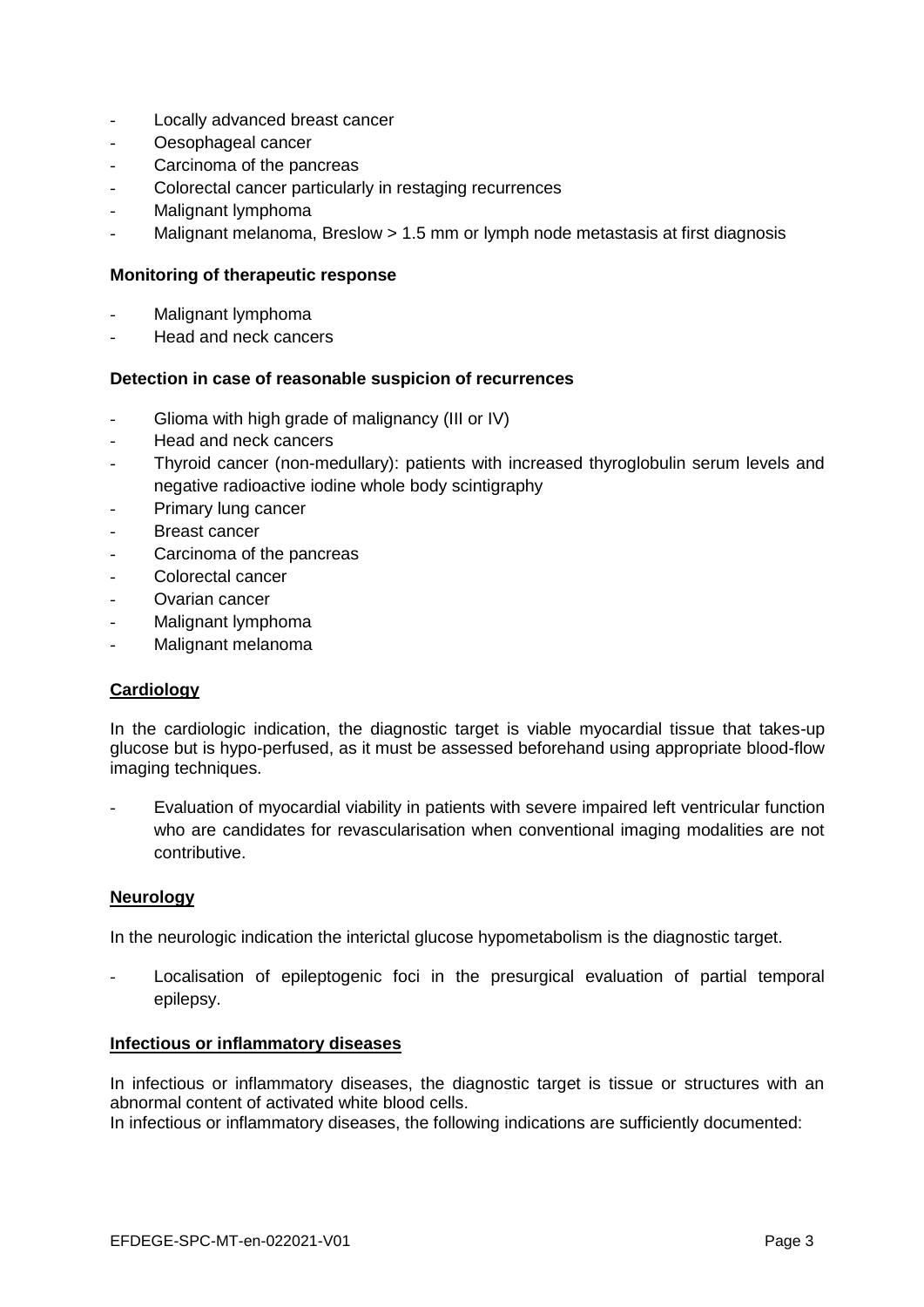- Locally advanced breast cancer
- Oesophageal cancer
- Carcinoma of the pancreas
- Colorectal cancer particularly in restaging recurrences
- Malignant lymphoma
- Malignant melanoma, Breslow > 1.5 mm or lymph node metastasis at first diagnosis

# **Monitoring of therapeutic response**

- Malignant lymphoma
- Head and neck cancers

#### **Detection in case of reasonable suspicion of recurrences**

- Glioma with high grade of malignancy (III or IV)
- Head and neck cancers
- Thyroid cancer (non-medullary): patients with increased thyroglobulin serum levels and negative radioactive iodine whole body scintigraphy
- Primary lung cancer
- Breast cancer
- Carcinoma of the pancreas
- Colorectal cancer
- Ovarian cancer
- Malignant lymphoma
- Malignant melanoma

# **Cardiology**

In the cardiologic indication, the diagnostic target is viable myocardial tissue that takes-up glucose but is hypo-perfused, as it must be assessed beforehand using appropriate blood-flow imaging techniques.

Evaluation of myocardial viability in patients with severe impaired left ventricular function who are candidates for revascularisation when conventional imaging modalities are not contributive.

#### **Neurology**

In the neurologic indication the interictal glucose hypometabolism is the diagnostic target.

Localisation of epileptogenic foci in the presurgical evaluation of partial temporal epilepsy.

#### **Infectious or inflammatory diseases**

In infectious or inflammatory diseases, the diagnostic target is tissue or structures with an abnormal content of activated white blood cells.

In infectious or inflammatory diseases, the following indications are sufficiently documented: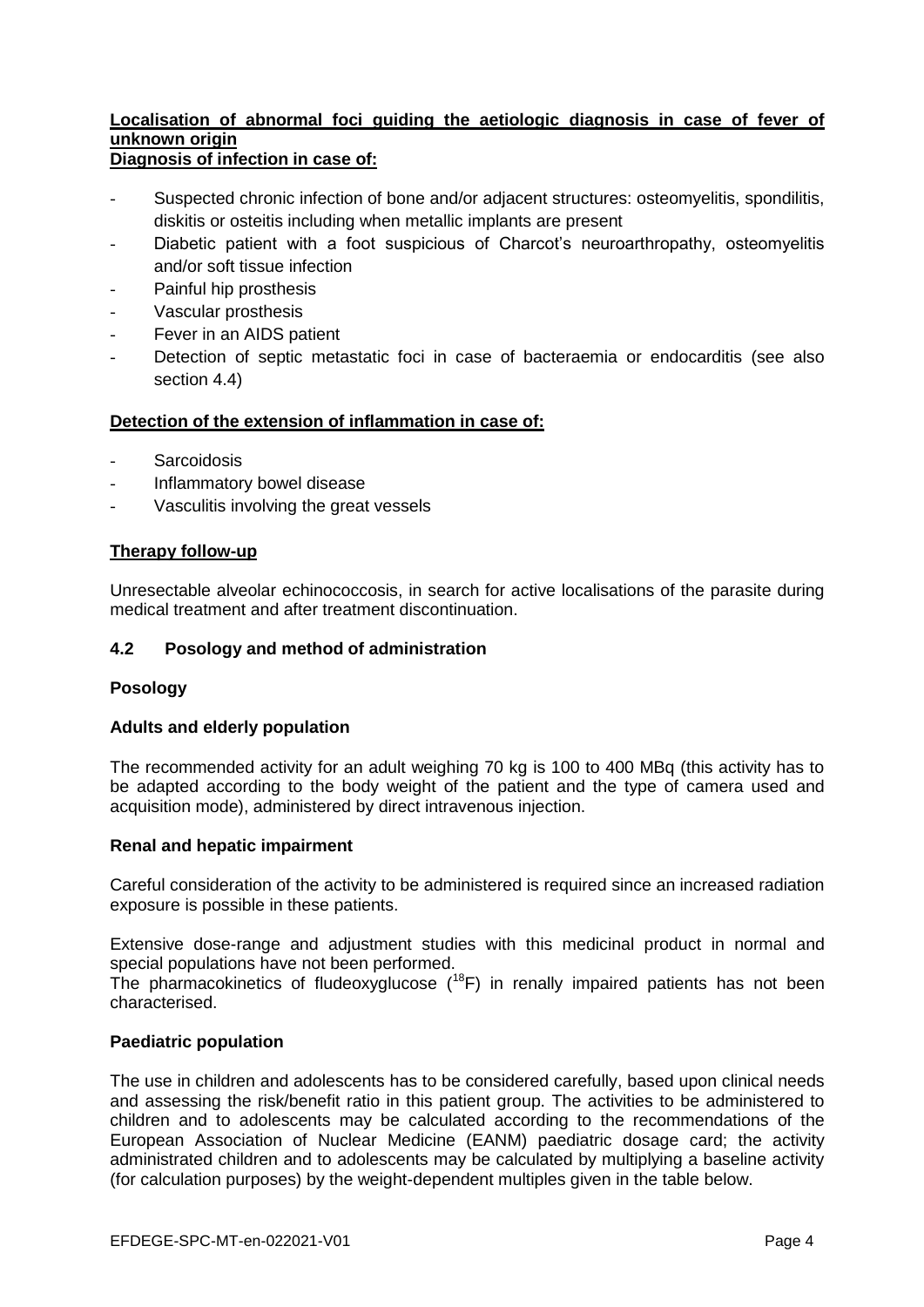#### **Localisation of abnormal foci guiding the aetiologic diagnosis in case of fever of unknown origin Diagnosis of infection in case of:**

- Suspected chronic infection of bone and/or adjacent structures: osteomyelitis, spondilitis, diskitis or osteitis including when metallic implants are present
- Diabetic patient with a foot suspicious of Charcot's neuroarthropathy, osteomyelitis and/or soft tissue infection
- Painful hip prosthesis
- Vascular prosthesis
- Fever in an AIDS patient
- Detection of septic metastatic foci in case of bacteraemia or endocarditis (see also section 4.4)

# **Detection of the extension of inflammation in case of:**

- **Sarcoidosis**
- Inflammatory bowel disease
- Vasculitis involving the great vessels

#### **Therapy follow-up**

Unresectable alveolar echinococcosis, in search for active localisations of the parasite during medical treatment and after treatment discontinuation.

#### **4.2 Posology and method of administration**

#### **Posology**

#### **Adults and elderly population**

The recommended activity for an adult weighing 70 kg is 100 to 400 MBq (this activity has to be adapted according to the body weight of the patient and the type of camera used and acquisition mode), administered by direct intravenous injection.

#### **Renal and hepatic impairment**

Careful consideration of the activity to be administered is required since an increased radiation exposure is possible in these patients.

Extensive dose-range and adjustment studies with this medicinal product in normal and special populations have not been performed.

The pharmacokinetics of fludeoxyglucose  $(^{18}F)$  in renally impaired patients has not been characterised.

#### **Paediatric population**

The use in children and adolescents has to be considered carefully, based upon clinical needs and assessing the risk/benefit ratio in this patient group. The activities to be administered to children and to adolescents may be calculated according to the recommendations of the European Association of Nuclear Medicine (EANM) paediatric dosage card; the activity administrated children and to adolescents may be calculated by multiplying a baseline activity (for calculation purposes) by the weight-dependent multiples given in the table below.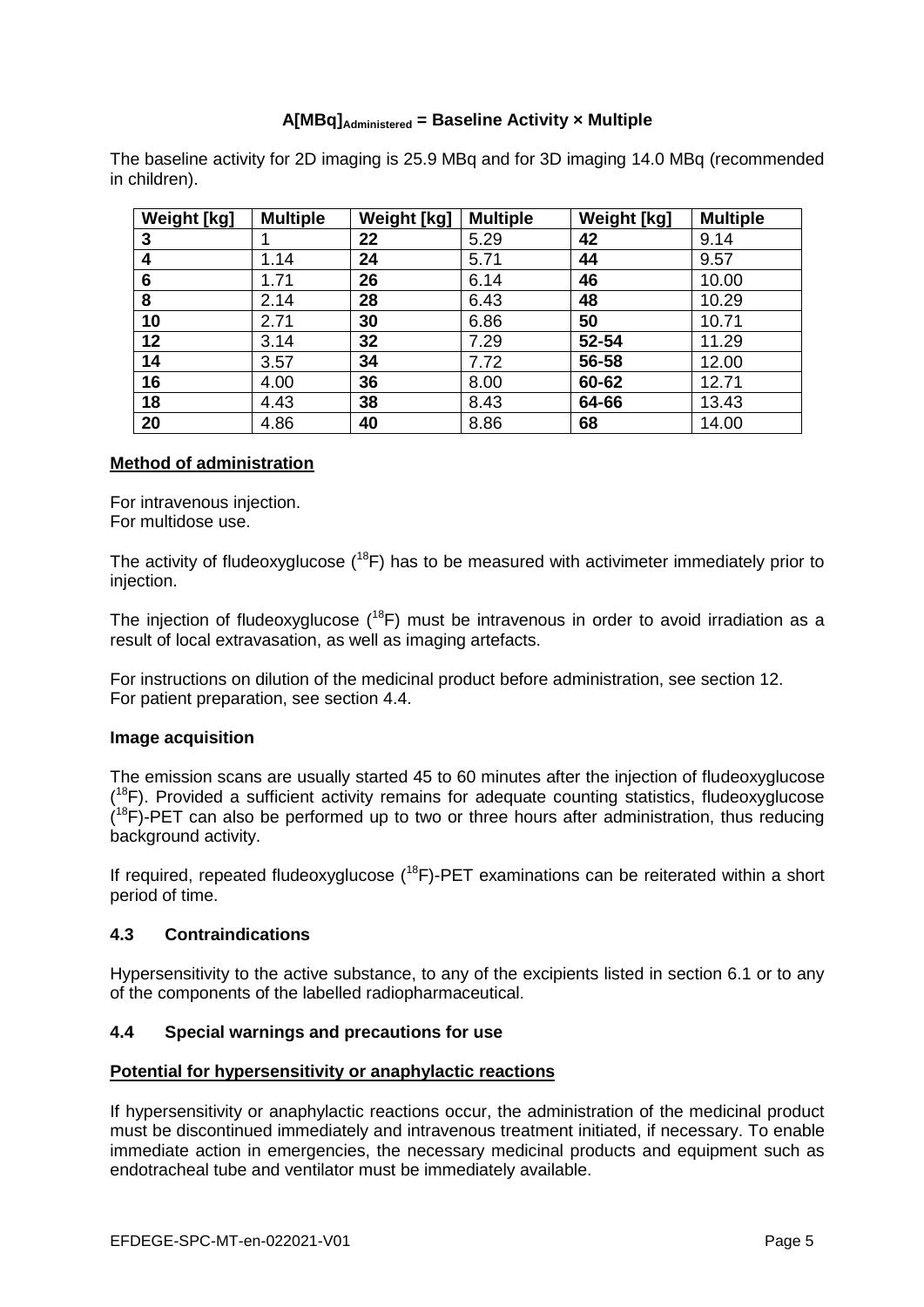# **A[MBq]Administered = Baseline Activity × Multiple**

The baseline activity for 2D imaging is 25.9 MBq and for 3D imaging 14.0 MBq (recommended in children).

| <b>Weight [kg]</b> | <b>Multiple</b> | Weight [kg] | <b>Multiple</b> | <b>Weight [kg]</b> | <b>Multiple</b> |
|--------------------|-----------------|-------------|-----------------|--------------------|-----------------|
| 3                  |                 | 22          | 5.29            | 42                 | 9.14            |
| 4                  | 1.14            | 24          | 5.71            | 44                 | 9.57            |
| 6                  | 1.71            | 26          | 6.14            | 46                 | 10.00           |
| 8                  | 2.14            | 28          | 6.43            | 48                 | 10.29           |
| 10                 | 2.71            | 30          | 6.86            | 50                 | 10.71           |
| 12                 | 3.14            | 32          | 7.29            | 52-54              | 11.29           |
| 14                 | 3.57            | 34          | 7.72            | 56-58              | 12.00           |
| 16                 | 4.00            | 36          | 8.00            | 60-62              | 12.71           |
| 18                 | 4.43            | 38          | 8.43            | 64-66              | 13.43           |
| 20                 | 4.86            | 40          | 8.86            | 68                 | 14.00           |

#### **Method of administration**

For intravenous injection. For multidose use.

The activity of fludeoxyglucose  $(18F)$  has to be measured with activimeter immediately prior to injection.

The injection of fludeoxyglucose  $(18F)$  must be intravenous in order to avoid irradiation as a result of local extravasation, as well as imaging artefacts.

For instructions on dilution of the medicinal product before administration, see section 12. For patient preparation, see section 4.4.

# **Image acquisition**

The emission scans are usually started 45 to 60 minutes after the injection of fludeoxyglucose  $(18F)$ . Provided a sufficient activity remains for adequate counting statistics, fludeoxyglucose  $(18F)$ -PET can also be performed up to two or three hours after administration, thus reducing background activity.

If required, repeated fludeoxyglucose  $(^{18}F)$ -PET examinations can be reiterated within a short period of time.

# **4.3 Contraindications**

Hypersensitivity to the active substance, to any of the excipients listed in section 6.1 or to any of the components of the labelled radiopharmaceutical.

# **4.4 Special warnings and precautions for use**

#### **Potential for hypersensitivity or anaphylactic reactions**

If hypersensitivity or anaphylactic reactions occur, the administration of the medicinal product must be discontinued immediately and intravenous treatment initiated, if necessary. To enable immediate action in emergencies, the necessary medicinal products and equipment such as endotracheal tube and ventilator must be immediately available.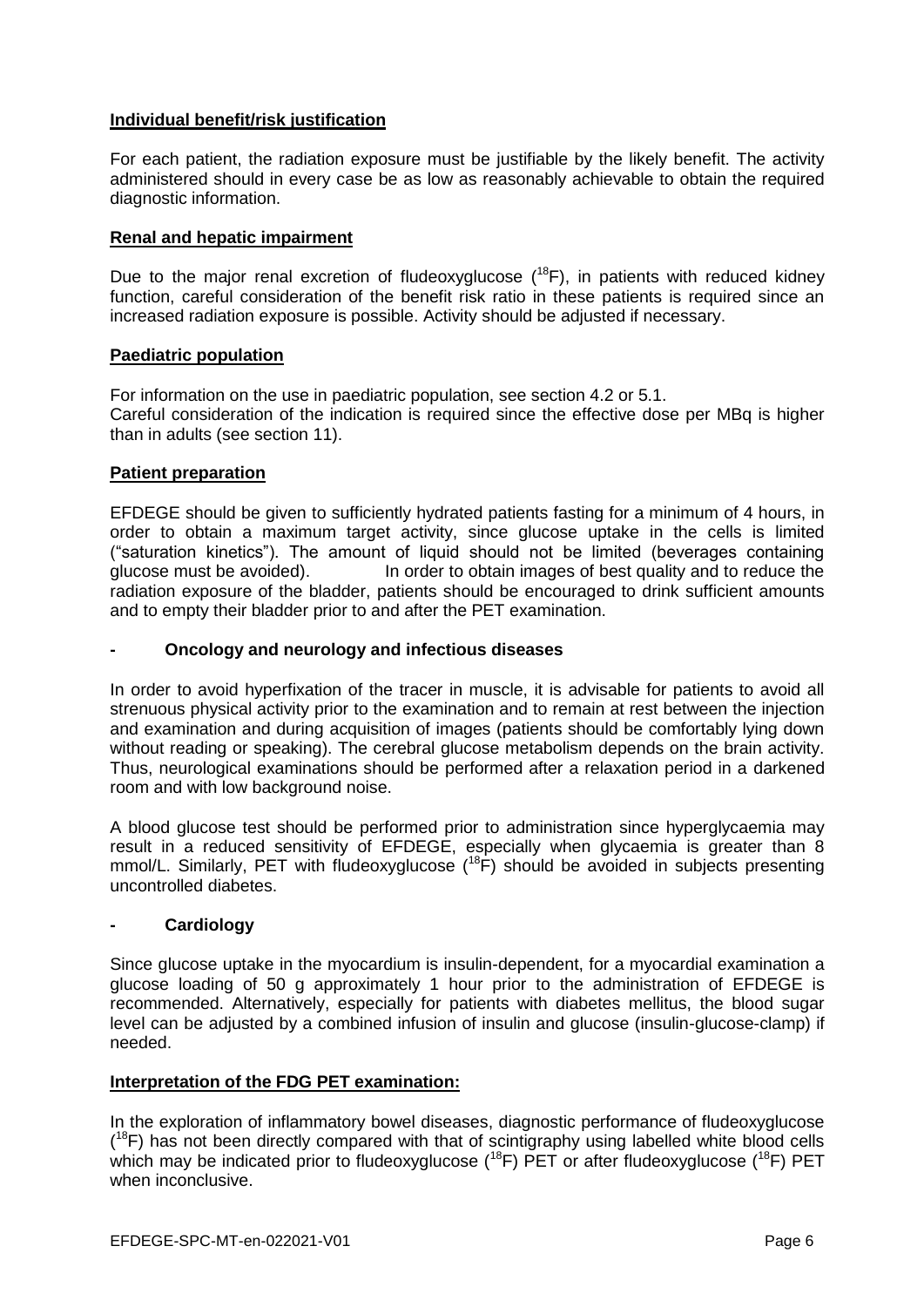# **Individual benefit/risk justification**

For each patient, the radiation exposure must be justifiable by the likely benefit. The activity administered should in every case be as low as reasonably achievable to obtain the required diagnostic information.

# **Renal and hepatic impairment**

Due to the major renal excretion of fludeoxyglucose  $(^{18}F)$ , in patients with reduced kidney function, careful consideration of the benefit risk ratio in these patients is required since an increased radiation exposure is possible. Activity should be adjusted if necessary.

#### **Paediatric population**

For information on the use in paediatric population, see section 4.2 or 5.1. Careful consideration of the indication is required since the effective dose per MBq is higher than in adults (see section 11).

#### **Patient preparation**

EFDEGE should be given to sufficiently hydrated patients fasting for a minimum of 4 hours, in order to obtain a maximum target activity, since glucose uptake in the cells is limited ("saturation kinetics"). The amount of liquid should not be limited (beverages containing glucose must be avoided). In order to obtain images of best quality and to reduce the radiation exposure of the bladder, patients should be encouraged to drink sufficient amounts and to empty their bladder prior to and after the PET examination.

#### **- Oncology and neurology and infectious diseases**

In order to avoid hyperfixation of the tracer in muscle, it is advisable for patients to avoid all strenuous physical activity prior to the examination and to remain at rest between the injection and examination and during acquisition of images (patients should be comfortably lying down without reading or speaking). The cerebral glucose metabolism depends on the brain activity. Thus, neurological examinations should be performed after a relaxation period in a darkened room and with low background noise.

A blood glucose test should be performed prior to administration since hyperglycaemia may result in a reduced sensitivity of EFDEGE, especially when glycaemia is greater than 8 mmol/L. Similarly, PET with fludeoxyglucose  $(^{18}F)$  should be avoided in subjects presenting uncontrolled diabetes.

# **- Cardiology**

Since glucose uptake in the myocardium is insulin-dependent, for a myocardial examination a glucose loading of 50 g approximately 1 hour prior to the administration of EFDEGE is recommended. Alternatively, especially for patients with diabetes mellitus, the blood sugar level can be adjusted by a combined infusion of insulin and glucose (insulin-glucose-clamp) if needed.

#### **Interpretation of the FDG PET examination:**

In the exploration of inflammatory bowel diseases, diagnostic performance of fludeoxyglucose  $(18F)$  has not been directly compared with that of scintigraphy using labelled white blood cells which may be indicated prior to fludeoxyglucose  $(^{18}F)$  PET or after fludeoxyglucose  $(^{18}F)$  PET when inconclusive.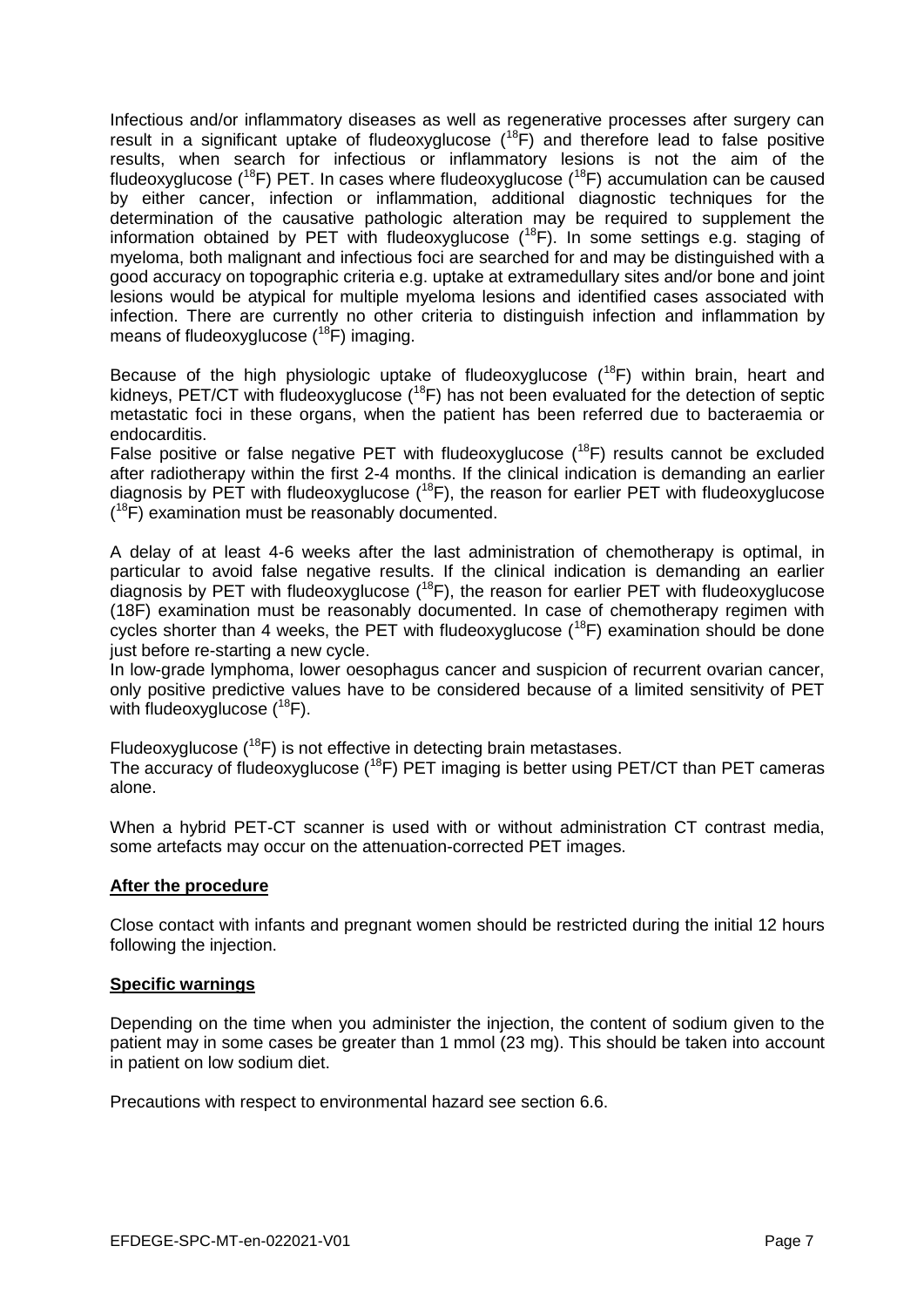Infectious and/or inflammatory diseases as well as regenerative processes after surgery can result in a significant uptake of fludeoxyglucose (<sup>18</sup>F) and therefore lead to false positive results, when search for infectious or inflammatory lesions is not the aim of the fludeoxyglucose ( $^{18}F$ ) PET. In cases where fludeoxyglucose ( $^{18}F$ ) accumulation can be caused by either cancer, infection or inflammation, additional diagnostic techniques for the determination of the causative pathologic alteration may be required to supplement the information obtained by PET with fludeoxyglucose  $(^{18}F)$ . In some settings e.g. staging of myeloma, both malignant and infectious foci are searched for and may be distinguished with a good accuracy on topographic criteria e.g. uptake at extramedullary sites and/or bone and joint lesions would be atypical for multiple myeloma lesions and identified cases associated with infection. There are currently no other criteria to distinguish infection and inflammation by means of fludeoxyglucose  $(^{18}F)$  imaging.

Because of the high physiologic uptake of fludeoxyglucose  $(^{18}F)$  within brain, heart and kidneys, PET/CT with fludeoxyglucose  $(^{18}F)$  has not been evaluated for the detection of septic metastatic foci in these organs, when the patient has been referred due to bacteraemia or endocarditis.

False positive or false negative PET with fludeoxyglucose  $(^{18}F)$  results cannot be excluded after radiotherapy within the first 2-4 months. If the clinical indication is demanding an earlier diagnosis by PET with fludeoxyglucose  $(^{18}F)$ , the reason for earlier PET with fludeoxyglucose (<sup>18</sup>F) examination must be reasonably documented.

A delay of at least 4-6 weeks after the last administration of chemotherapy is optimal, in particular to avoid false negative results. If the clinical indication is demanding an earlier diagnosis by PET with fludeoxyglucose  $(^{18}F)$ , the reason for earlier PET with fludeoxyglucose (18F) examination must be reasonably documented. In case of chemotherapy regimen with cycles shorter than 4 weeks, the PET with fludeoxyglucose  $(^{18}F)$  examination should be done just before re-starting a new cycle.

In low-grade lymphoma, lower oesophagus cancer and suspicion of recurrent ovarian cancer, only positive predictive values have to be considered because of a limited sensitivity of PET with fludeoxyglucose  $(^{18}F)$ .

Fludeoxyglucose  $(^{18}F)$  is not effective in detecting brain metastases. The accuracy of fludeoxyglucose (<sup>18</sup>F) PET imaging is better using PET/CT than PET cameras alone.

When a hybrid PET-CT scanner is used with or without administration CT contrast media, some artefacts may occur on the attenuation-corrected PET images.

# **After the procedure**

Close contact with infants and pregnant women should be restricted during the initial 12 hours following the injection.

# **Specific warnings**

Depending on the time when you administer the injection, the content of sodium given to the patient may in some cases be greater than 1 mmol (23 mg). This should be taken into account in patient on low sodium diet.

Precautions with respect to environmental hazard see section 6.6.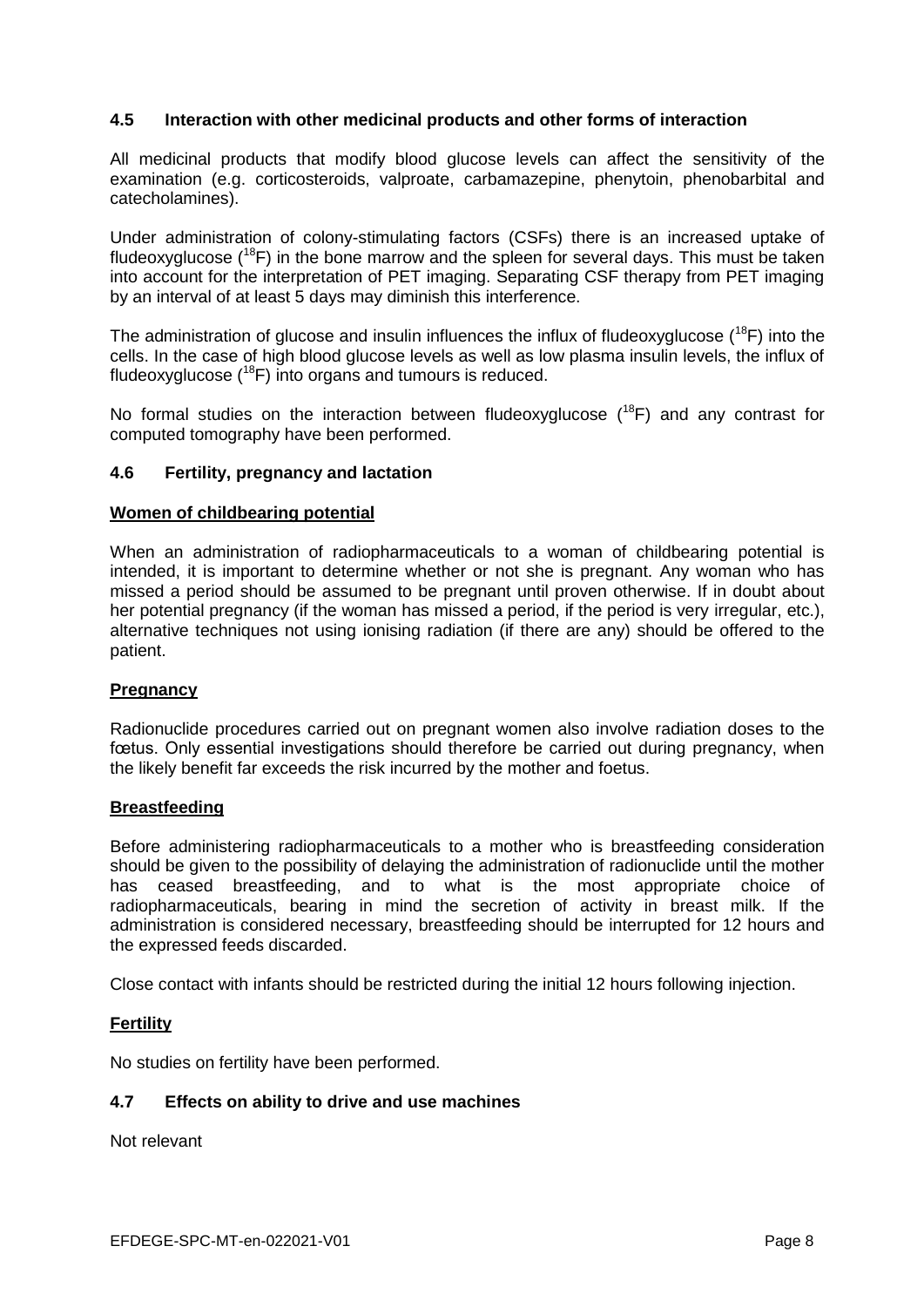# **4.5 Interaction with other medicinal products and other forms of interaction**

All medicinal products that modify blood glucose levels can affect the sensitivity of the examination (e.g. corticosteroids, valproate, carbamazepine, phenytoin, phenobarbital and catecholamines).

Under administration of colony-stimulating factors (CSFs) there is an increased uptake of fludeoxyglucose  $(^{18}F)$  in the bone marrow and the spleen for several days. This must be taken into account for the interpretation of PET imaging. Separating CSF therapy from PET imaging by an interval of at least 5 days may diminish this interference.

The administration of glucose and insulin influences the influx of fludeoxyglucose  $(^{18}F)$  into the cells. In the case of high blood glucose levels as well as low plasma insulin levels, the influx of fludeoxyglucose  $(^{18}F)$  into organs and tumours is reduced.

No formal studies on the interaction between fludeoxyglucose  $(^{18}F)$  and any contrast for computed tomography have been performed.

# **4.6 Fertility, pregnancy and lactation**

#### **Women of childbearing potential**

When an administration of radiopharmaceuticals to a woman of childbearing potential is intended, it is important to determine whether or not she is pregnant. Any woman who has missed a period should be assumed to be pregnant until proven otherwise. If in doubt about her potential pregnancy (if the woman has missed a period, if the period is very irregular, etc.), alternative techniques not using ionising radiation (if there are any) should be offered to the patient.

#### **Pregnancy**

Radionuclide procedures carried out on pregnant women also involve radiation doses to the fœtus. Only essential investigations should therefore be carried out during pregnancy, when the likely benefit far exceeds the risk incurred by the mother and foetus.

#### **Breastfeeding**

Before administering radiopharmaceuticals to a mother who is breastfeeding consideration should be given to the possibility of delaying the administration of radionuclide until the mother has ceased breastfeeding, and to what is the most appropriate choice of radiopharmaceuticals, bearing in mind the secretion of activity in breast milk. If the administration is considered necessary, breastfeeding should be interrupted for 12 hours and the expressed feeds discarded.

Close contact with infants should be restricted during the initial 12 hours following injection.

# **Fertility**

No studies on fertility have been performed.

# **4.7 Effects on ability to drive and use machines**

Not relevant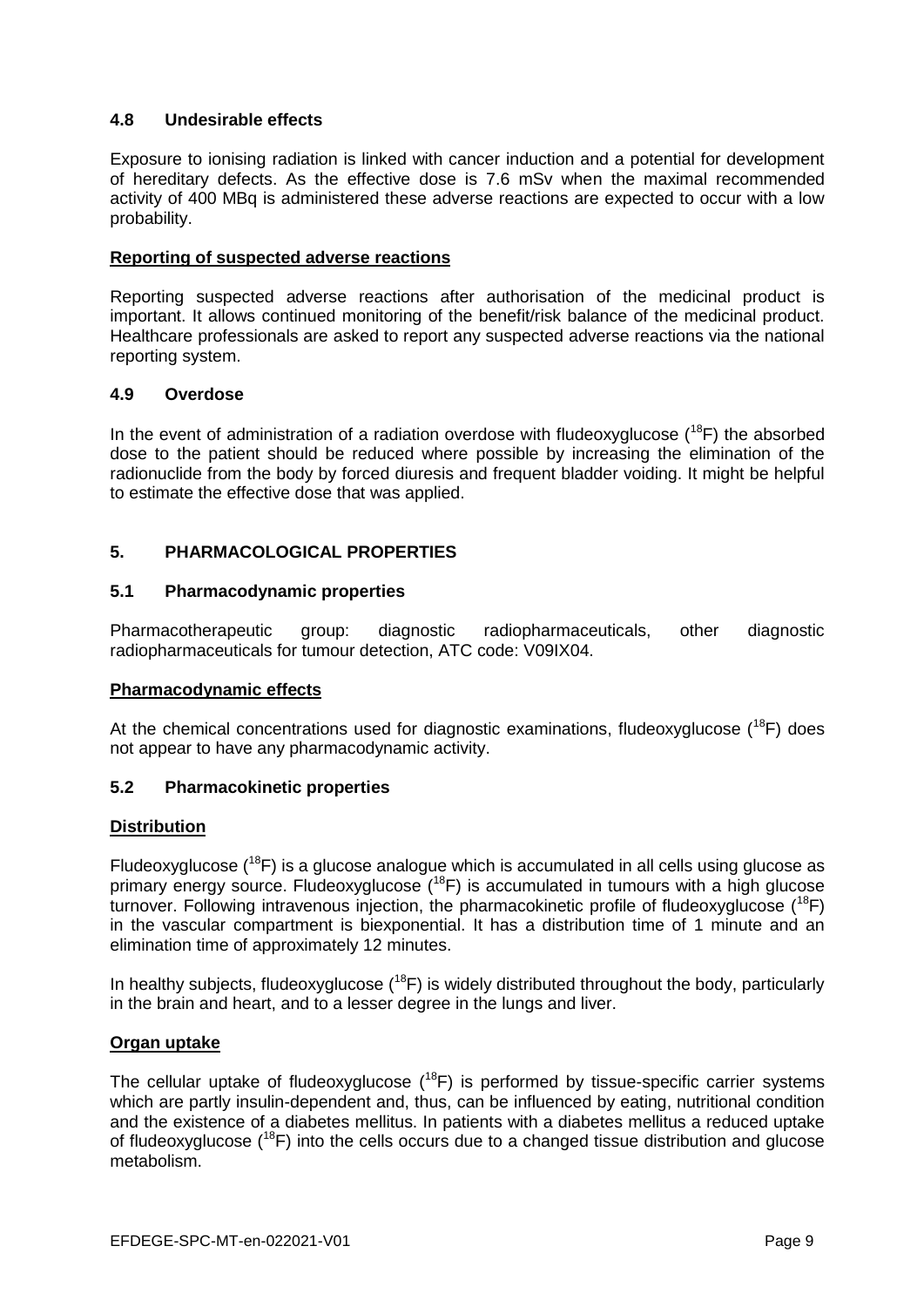# **4.8 Undesirable effects**

Exposure to ionising radiation is linked with cancer induction and a potential for development of hereditary defects. As the effective dose is 7.6 mSv when the maximal recommended activity of 400 MBq is administered these adverse reactions are expected to occur with a low probability.

#### **Reporting of suspected adverse reactions**

Reporting suspected adverse reactions after authorisation of the medicinal product is important. It allows continued monitoring of the benefit/risk balance of the medicinal product. Healthcare professionals are asked to report any suspected adverse reactions via the national reporting system.

#### **4.9 Overdose**

In the event of administration of a radiation overdose with fludeoxyglucose  $(^{18}F)$  the absorbed dose to the patient should be reduced where possible by increasing the elimination of the radionuclide from the body by forced diuresis and frequent bladder voiding. It might be helpful to estimate the effective dose that was applied.

# **5. PHARMACOLOGICAL PROPERTIES**

# **5.1 Pharmacodynamic properties**

Pharmacotherapeutic group: diagnostic radiopharmaceuticals, other diagnostic radiopharmaceuticals for tumour detection, ATC code: V09IX04.

# **Pharmacodynamic effects**

At the chemical concentrations used for diagnostic examinations, fludeoxyglucose  $(^{18}F)$  does not appear to have any pharmacodynamic activity.

# **5.2 Pharmacokinetic properties**

# **Distribution**

Fludeoxyglucose  $(18)$  is a glucose analogue which is accumulated in all cells using glucose as primary energy source. Fludeoxyglucose  $(18F)$  is accumulated in tumours with a high glucose turnover. Following intravenous injection, the pharmacokinetic profile of fludeoxyglucose  $(^{18}F)$ in the vascular compartment is biexponential. It has a distribution time of 1 minute and an elimination time of approximately 12 minutes.

In healthy subjects, fludeoxyglucose  $(^{18}F)$  is widely distributed throughout the body, particularly in the brain and heart, and to a lesser degree in the lungs and liver.

#### **Organ uptake**

The cellular uptake of fludeoxyglucose  $(^{18}F)$  is performed by tissue-specific carrier systems which are partly insulin-dependent and, thus, can be influenced by eating, nutritional condition and the existence of a diabetes mellitus. In patients with a diabetes mellitus a reduced uptake of fludeoxyglucose  $(18F)$  into the cells occurs due to a changed tissue distribution and glucose metabolism.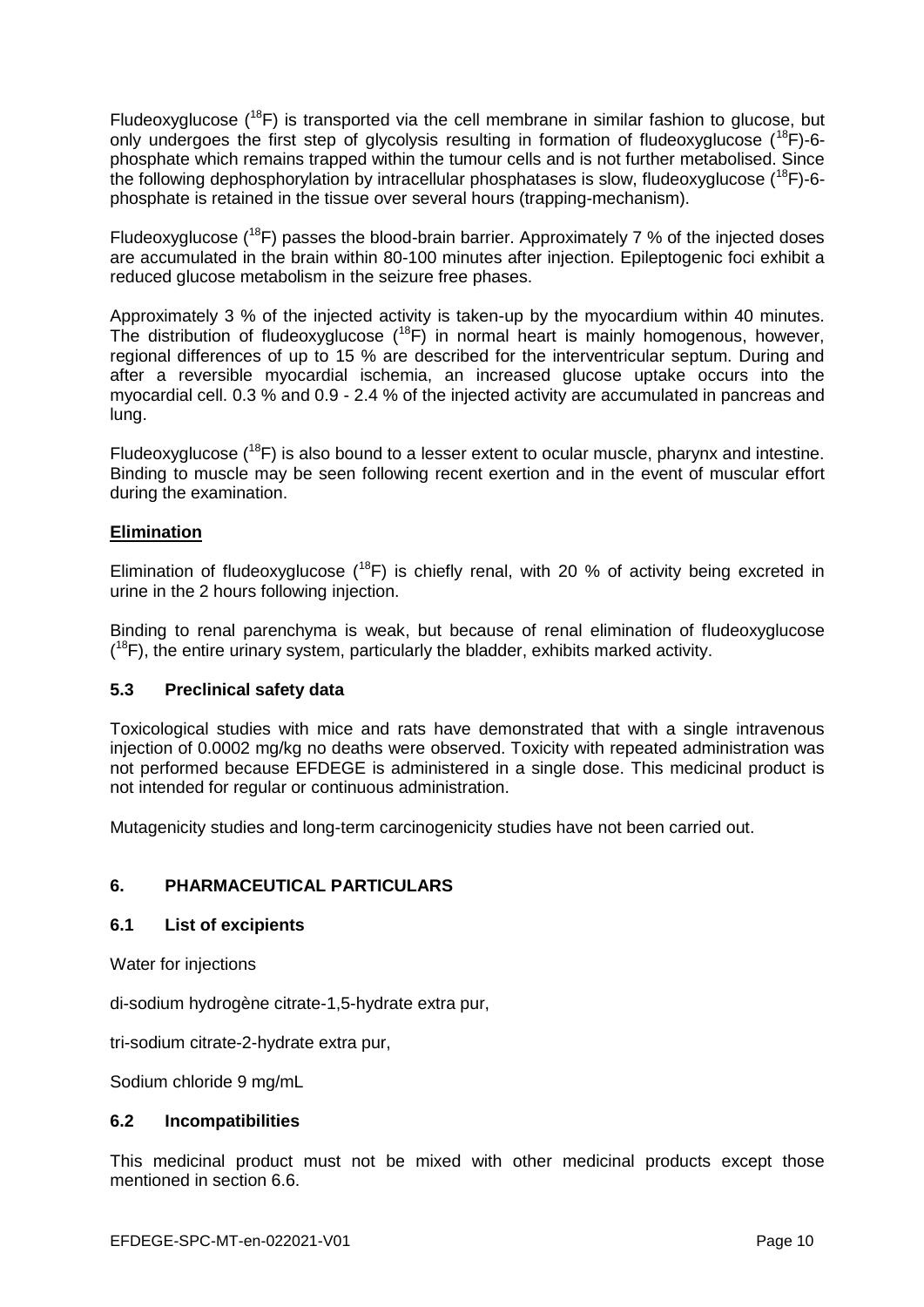Fludeoxyglucose  $(^{18}F)$  is transported via the cell membrane in similar fashion to glucose, but only undergoes the first step of glycolysis resulting in formation of fludeoxyglucose  $(^{18}F)$ -6phosphate which remains trapped within the tumour cells and is not further metabolised. Since the following dephosphorylation by intracellular phosphatases is slow, fludeoxyglucose  $(^{18}F)$ -6phosphate is retained in the tissue over several hours (trapping-mechanism).

Fludeoxyglucose ( $^{18}$ F) passes the blood-brain barrier. Approximately 7 % of the injected doses are accumulated in the brain within 80-100 minutes after injection. Epileptogenic foci exhibit a reduced glucose metabolism in the seizure free phases.

Approximately 3 % of the injected activity is taken-up by the myocardium within 40 minutes. The distribution of fludeoxyglucose  $(^{18}F)$  in normal heart is mainly homogenous, however, regional differences of up to 15 % are described for the interventricular septum. During and after a reversible myocardial ischemia, an increased glucose uptake occurs into the myocardial cell. 0.3 % and 0.9 - 2.4 % of the injected activity are accumulated in pancreas and lung.

Fludeoxyglucose  $(^{18}F)$  is also bound to a lesser extent to ocular muscle, pharynx and intestine. Binding to muscle may be seen following recent exertion and in the event of muscular effort during the examination.

# **Elimination**

Elimination of fludeoxyglucose  $(^{18}F)$  is chiefly renal, with 20 % of activity being excreted in urine in the 2 hours following injection.

Binding to renal parenchyma is weak, but because of renal elimination of fludeoxyglucose  $(18F)$ , the entire urinary system, particularly the bladder, exhibits marked activity.

# **5.3 Preclinical safety data**

Toxicological studies with mice and rats have demonstrated that with a single intravenous injection of 0.0002 mg/kg no deaths were observed. Toxicity with repeated administration was not performed because EFDEGE is administered in a single dose. This medicinal product is not intended for regular or continuous administration.

Mutagenicity studies and long-term carcinogenicity studies have not been carried out.

# **6. PHARMACEUTICAL PARTICULARS**

#### **6.1 List of excipients**

Water for injections

di-sodium hydrogène citrate-1,5-hydrate extra pur,

tri-sodium citrate-2-hydrate extra pur,

Sodium chloride 9 mg/mL

#### **6.2 Incompatibilities**

This medicinal product must not be mixed with other medicinal products except those mentioned in section 6.6.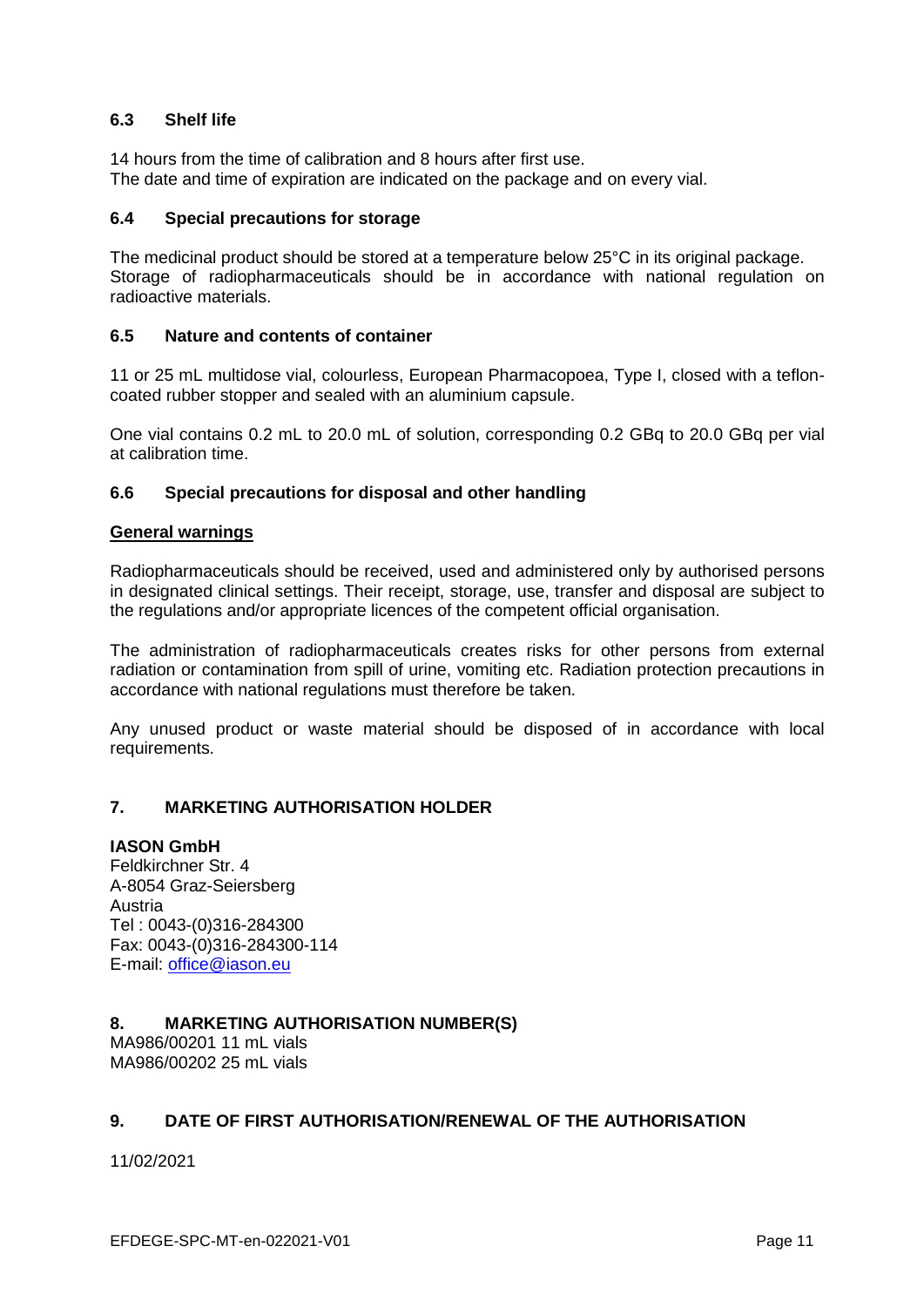# **6.3 Shelf life**

14 hours from the time of calibration and 8 hours after first use. The date and time of expiration are indicated on the package and on every vial.

#### **6.4 Special precautions for storage**

The medicinal product should be stored at a temperature below 25°C in its original package. Storage of radiopharmaceuticals should be in accordance with national regulation on radioactive materials.

#### **6.5 Nature and contents of container**

11 or 25 mL multidose vial, colourless, European Pharmacopoea, Type I, closed with a tefloncoated rubber stopper and sealed with an aluminium capsule.

One vial contains 0.2 mL to 20.0 mL of solution, corresponding 0.2 GBq to 20.0 GBq per vial at calibration time.

#### **6.6 Special precautions for disposal and other handling**

#### **General warnings**

Radiopharmaceuticals should be received, used and administered only by authorised persons in designated clinical settings. Their receipt, storage, use, transfer and disposal are subject to the regulations and/or appropriate licences of the competent official organisation.

The administration of radiopharmaceuticals creates risks for other persons from external radiation or contamination from spill of urine, vomiting etc. Radiation protection precautions in accordance with national regulations must therefore be taken.

Any unused product or waste material should be disposed of in accordance with local requirements.

# **7. MARKETING AUTHORISATION HOLDER**

# **IASON GmbH**

Feldkirchner Str. 4 A-8054 Graz-Seiersberg Austria Tel : 0043-(0)316-284300 Fax: 0043-(0)316-284300-114 E-mail: [office@iason.eu](mailto:office@iason.eu)

# **8. MARKETING AUTHORISATION NUMBER(S)**

MA986/00201 11 mL vials MA986/00202 25 mL vials

# **9. DATE OF FIRST AUTHORISATION/RENEWAL OF THE AUTHORISATION**

11/02/2021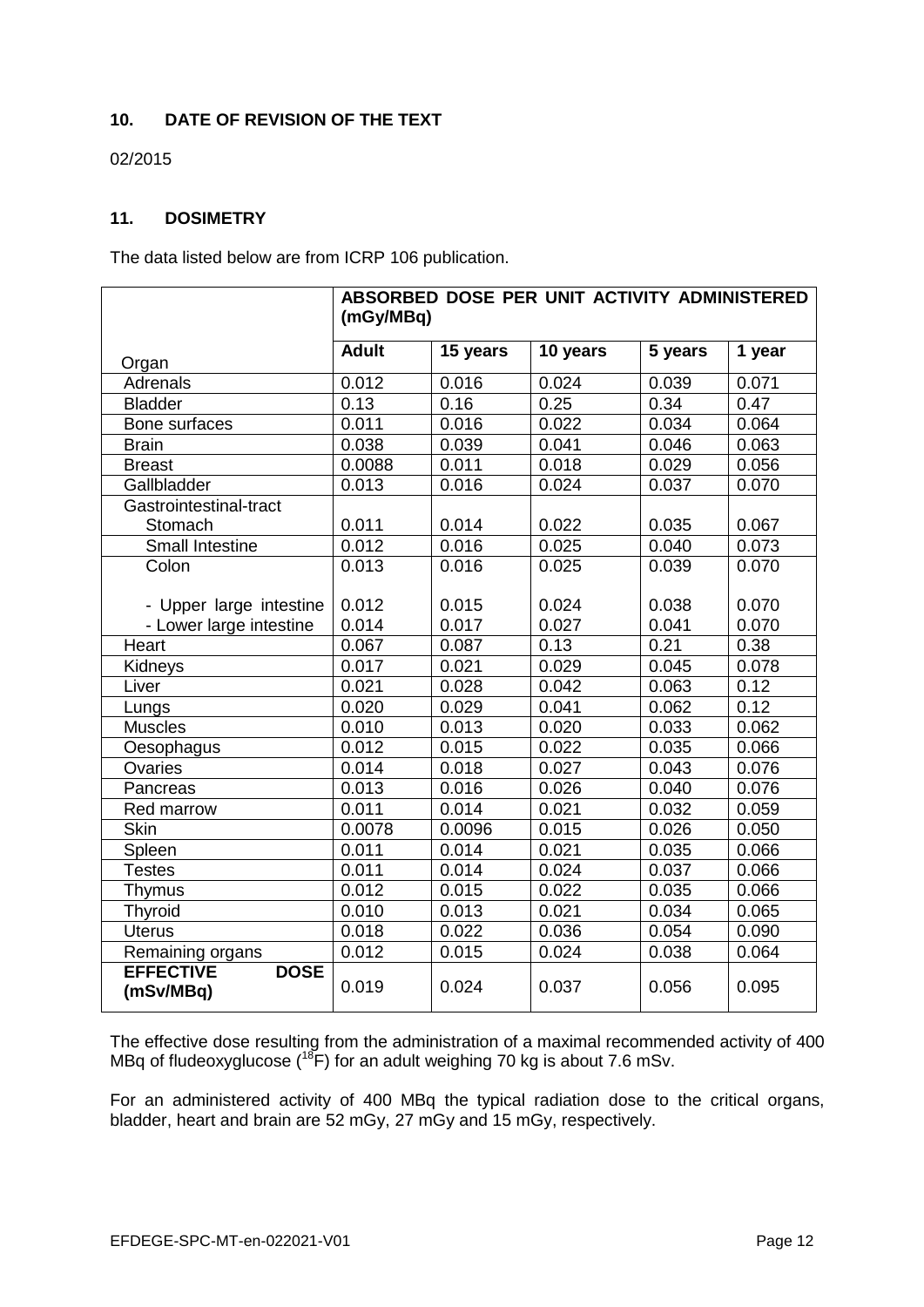# **10. DATE OF REVISION OF THE TEXT**

02/2015

# **11. DOSIMETRY**

The data listed below are from ICRP 106 publication.

|                                              | ABSORBED DOSE PER UNIT ACTIVITY ADMINISTERED<br>(mGy/MBq) |          |          |         |        |
|----------------------------------------------|-----------------------------------------------------------|----------|----------|---------|--------|
| Organ                                        | <b>Adult</b>                                              | 15 years | 10 years | 5 years | 1 year |
| Adrenals                                     | 0.012                                                     | 0.016    | 0.024    | 0.039   | 0.071  |
| <b>Bladder</b>                               | 0.13                                                      | 0.16     | 0.25     | 0.34    | 0.47   |
| Bone surfaces                                | 0.011                                                     | 0.016    | 0.022    | 0.034   | 0.064  |
| <b>Brain</b>                                 | 0.038                                                     | 0.039    | 0.041    | 0.046   | 0.063  |
| <b>Breast</b>                                | 0.0088                                                    | 0.011    | 0.018    | 0.029   | 0.056  |
| Gallbladder                                  | 0.013                                                     | 0.016    | 0.024    | 0.037   | 0.070  |
| Gastrointestinal-tract                       |                                                           |          |          |         |        |
| Stomach                                      | 0.011                                                     | 0.014    | 0.022    | 0.035   | 0.067  |
| Small Intestine                              | 0.012                                                     | 0.016    | 0.025    | 0.040   | 0.073  |
| Colon                                        | 0.013                                                     | 0.016    | 0.025    | 0.039   | 0.070  |
|                                              |                                                           |          |          |         |        |
| - Upper large intestine                      | 0.012                                                     | 0.015    | 0.024    | 0.038   | 0.070  |
| - Lower large intestine                      | 0.014                                                     | 0.017    | 0.027    | 0.041   | 0.070  |
| Heart                                        | 0.067                                                     | 0.087    | 0.13     | 0.21    | 0.38   |
| Kidneys                                      | 0.017                                                     | 0.021    | 0.029    | 0.045   | 0.078  |
| Liver                                        | 0.021                                                     | 0.028    | 0.042    | 0.063   | 0.12   |
| Lungs                                        | 0.020                                                     | 0.029    | 0.041    | 0.062   | 0.12   |
| <b>Muscles</b>                               | 0.010                                                     | 0.013    | 0.020    | 0.033   | 0.062  |
| Oesophagus                                   | 0.012                                                     | 0.015    | 0.022    | 0.035   | 0.066  |
| Ovaries                                      | 0.014                                                     | 0.018    | 0.027    | 0.043   | 0.076  |
| Pancreas                                     | 0.013                                                     | 0.016    | 0.026    | 0.040   | 0.076  |
| Red marrow                                   | 0.011                                                     | 0.014    | 0.021    | 0.032   | 0.059  |
| <b>Skin</b>                                  | 0.0078                                                    | 0.0096   | 0.015    | 0.026   | 0.050  |
| Spleen                                       | 0.011                                                     | 0.014    | 0.021    | 0.035   | 0.066  |
| <b>Testes</b>                                | 0.011                                                     | 0.014    | 0.024    | 0.037   | 0.066  |
| <b>Thymus</b>                                | 0.012                                                     | 0.015    | 0.022    | 0.035   | 0.066  |
| <b>Thyroid</b>                               | 0.010                                                     | 0.013    | 0.021    | 0.034   | 0.065  |
| <b>Uterus</b>                                | 0.018                                                     | 0.022    | 0.036    | 0.054   | 0.090  |
| Remaining organs                             | 0.012                                                     | 0.015    | 0.024    | 0.038   | 0.064  |
| <b>EFFECTIVE</b><br><b>DOSE</b><br>(mSv/MBq) | 0.019                                                     | 0.024    | 0.037    | 0.056   | 0.095  |

The effective dose resulting from the administration of a maximal recommended activity of 400 MBq of fludeoxyglucose ( $^{18}$ F) for an adult weighing 70 kg is about 7.6 mSv.

For an administered activity of 400 MBq the typical radiation dose to the critical organs, bladder, heart and brain are 52 mGy, 27 mGy and 15 mGy, respectively.